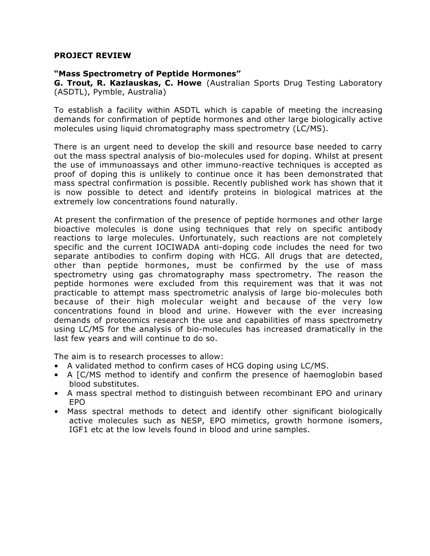### **PROJECT REVIEW**

### **"Mass Spectrometry of Peptide Hormones"**

**G. Trout, R. Kazlauskas, C. Howe** (Australian Sports Drug Testing Laboratory (ASDTL), Pymble, Australia)

To establish a facility within ASDTL which is capable of meeting the increasing demands for confirmation of peptide hormones and other large biologically active molecules using liquid chromatography mass spectrometry (LC/MS).

There is an urgent need to develop the skill and resource base needed to carry out the mass spectral analysis of bio-molecules used for doping. Whilst at present the use of immunoassays and other immuno-reactive techniques is accepted as proof of doping this is unlikely to continue once it has been demonstrated that mass spectral confirmation is possible. Recently published work has shown that it is now possible to detect and identify proteins in biological matrices at the extremely low concentrations found naturally.

At present the confirmation of the presence of peptide hormones and other large bioactive molecules is done using techniques that rely on specific antibody reactions to large molecules. Unfortunately, such reactions are not completely specific and the current IOCIWADA anti-doping code includes the need for two separate antibodies to confirm doping with HCG. All drugs that are detected, other than peptide hormones, must be confirmed by the use of mass spectrometry using gas chromatography mass spectrometry. The reason the peptide hormones were excluded from this requirement was that it was not practicable to attempt mass spectrometric analysis of large bio-molecules both because of their high molecular weight and because of the very low concentrations found in blood and urine. However with the ever increasing demands of proteomics research the use and capabilities of mass spectrometry using LC/MS for the analysis of bio-molecules has increased dramatically in the last few years and will continue to do so.

The aim is to research processes to allow:

- A validated method to confirm cases of HCG doping using LC/MS.
- A [C/MS method to identify and confirm the presence of haemoglobin based blood substitutes.
- A mass spectral method to distinguish between recombinant EPO and urinary EPO
- Mass spectral methods to detect and identify other significant biologically active molecules such as NESP, EPO mimetics, growth hormone isomers, IGF1 etc at the low levels found in blood and urine samples.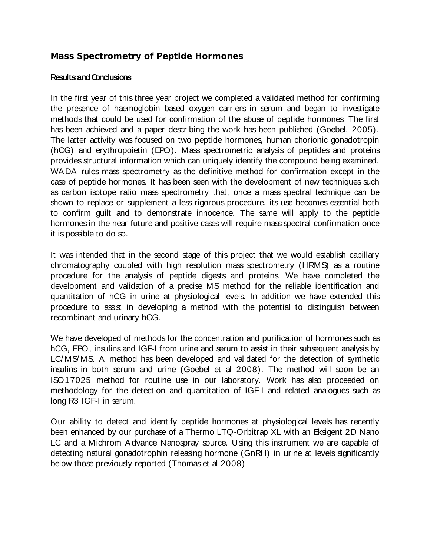# **Mass Spectrometry of Peptide Hormones**

## **Results and Conclusions**

In the first year of this three year project we completed a validated method for confirming the presence of haemoglobin based oxygen carriers in serum and began to investigate methods that could be used for confirmation of the abuse of peptide hormones. The first has been achieved and a paper describing the work has been published (Goebel, 2005). The latter activity was focused on two peptide hormones, human chorionic gonadotropin (hCG) and erythropoietin (EPO). Mass spectrometric analysis of peptides and proteins provides structural information which can uniquely identify the compound being examined. WADA rules mass spectrometry as the definitive method for confirmation except in the case of peptide hormones. It has been seen with the development of new techniques such as carbon isotope ratio mass spectrometry that, once a mass spectral technique can be shown to replace or supplement a less rigorous procedure, its use becomes essential both to confirm guilt and to demonstrate innocence. The same will apply to the peptide hormones in the near future and positive cases will require mass spectral confirmation once it is possible to do so.

It was intended that in the second stage of this project that we would establish capillary chromatography coupled with high resolution mass spectrometry (HRMS) as a routine procedure for the analysis of peptide digests and proteins. We have completed the development and validation of a precise MS method for the reliable identification and quantitation of hCG in urine at physiological levels. In addition we have extended this procedure to assist in developing a method with the potential to distinguish between recombinant and urinary hCG.

We have developed of methods for the concentration and purification of hormones such as hCG, EPO, insulins and IGF-I from urine and serum to assist in their subsequent analysis by LC/ MS/ MS. A method has been developed and validated for the detection of synthetic insulins in both serum and urine (Goebel et al 2008). The method will soon be an ISO17025 method for routine use in our laboratory. Work has also proceeded on methodology for the detection and quantitation of IGF-I and related analogues such as long R3 IGF-I in serum.

Our ability to detect and identify peptide hormones at physiological levels has recently been enhanced by our purchase of a Thermo LTQ-Orbitrap XL with an Eksigent 2D Nano LC and a Michrom Advance Nanospray source. Using this instrument we are capable of detecting natural gonadotrophin releasing hormone (GnRH) in urine at levels significantly below those previously reported (Thomas et al 2008)